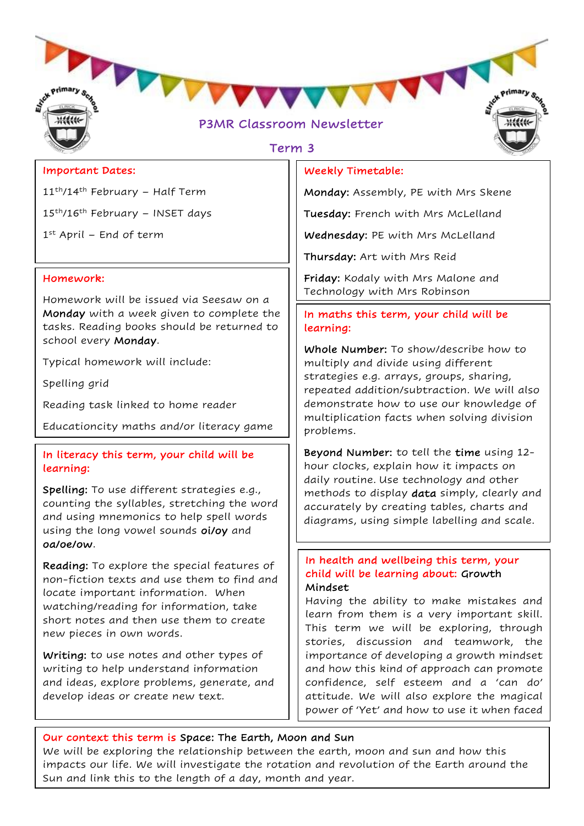

# Term 3

### Important Dates:

11<sup>th</sup>/14<sup>th</sup> February – Half Term

15th/16th February – INSET days

1 st April – End of term

### Homework:

Homework will be issued via Seesaw on a Monday with a week given to complete the tasks. Reading books should be returned to school every Monday.

Typical homework will include:

Spelling grid

Reading task linked to home reader

Educationcity maths and/or literacy game

### In literacy this term, your child will be learning:

Spelling: To use different strategies e.g., counting the syllables, stretching the word and using mnemonics to help spell words using the long vowel sounds oi/oy and oa/oe/ow.

Reading: To explore the special features of non-fiction texts and use them to find and locate important information. When watching/reading for information, take short notes and then use them to create new pieces in own words.

Writing: to use notes and other types of writing to help understand information and ideas, explore problems, generate, and develop ideas or create new text.

### Weekly Timetable:

Monday: Assembly, PE with Mrs Skene

Tuesday: French with Mrs McLelland

Wednesday: PE with Mrs McLelland

Thursday: Art with Mrs Reid

Friday: Kodaly with Mrs Malone and Technology with Mrs Robinson

### In maths this term, your child will be learning:

Whole Number: To show/describe how to multiply and divide using different strategies e.g. arrays, groups, sharing, repeated addition/subtraction. We will also demonstrate how to use our knowledge of multiplication facts when solving division problems.

Beyond Number: to tell the time using 12 hour clocks, explain how it impacts on daily routine. Use technology and other methods to display data simply, clearly and accurately by creating tables, charts and diagrams, using simple labelling and scale.

### In health and wellbeing this term, your child will be learning about: Growth Mindset

Having the ability to make mistakes and learn from them is a very important skill. This term we will be exploring, through stories, discussion and teamwork, the importance of developing a growth mindset and how this kind of approach can promote confidence, self esteem and a 'can do' attitude. We will also explore the magical power of 'Yet' and how to use it when faced

with the challenge or new skill. The challenge of the challenge of the challenge of the challenge of the challenge of the challenge of the challenge of the challenge of the challenge of the challenge of the challenge of th

### Our context this term is Space: The Earth, Moon and Sun

We will be exploring the relationship between the earth, moon and sun and how this impacts our life. We will investigate the rotation and revolution of the Earth around the Sun and link this to the length of a day, month and year.